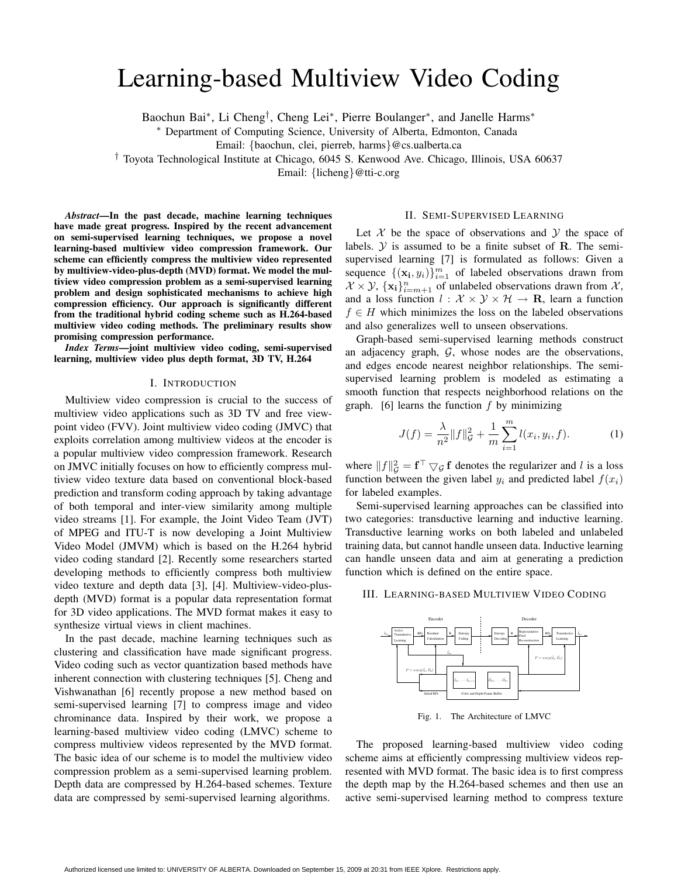# Learning-based Multiview Video Coding

Baochun Bai∗, Li Cheng†, Cheng Lei∗, Pierre Boulanger∗, and Janelle Harms∗

∗ Department of Computing Science, University of Alberta, Edmonton, Canada

Email: {baochun, clei, pierreb, harms}@cs.ualberta.ca

† Toyota Technological Institute at Chicago, 6045 S. Kenwood Ave. Chicago, Illinois, USA 60637

Email: {licheng}@tti-c.org

*Abstract***—In the past decade, machine learning techniques have made great progress. Inspired by the recent advancement on semi-supervised learning techniques, we propose a novel learning-based multiview video compression framework. Our scheme can efficiently compress the multiview video represented by multiview-video-plus-depth (MVD) format. We model the multiview video compression problem as a semi-supervised learning problem and design sophisticated mechanisms to achieve high compression efficiency. Our approach is significantly different from the traditional hybrid coding scheme such as H.264-based multiview video coding methods. The preliminary results show promising compression performance.**

*Index Terms***—joint multiview video coding, semi-supervised learning, multiview video plus depth format, 3D TV, H.264**

## I. INTRODUCTION

Multiview video compression is crucial to the success of multiview video applications such as 3D TV and free viewpoint video (FVV). Joint multiview video coding (JMVC) that exploits correlation among multiview videos at the encoder is a popular multiview video compression framework. Research on JMVC initially focuses on how to efficiently compress multiview video texture data based on conventional block-based prediction and transform coding approach by taking advantage of both temporal and inter-view similarity among multiple video streams [1]. For example, the Joint Video Team (JVT) of MPEG and ITU-T is now developing a Joint Multiview Video Model (JMVM) which is based on the H.264 hybrid video coding standard [2]. Recently some researchers started developing methods to efficiently compress both multiview video texture and depth data [3], [4]. Multiview-video-plusdepth (MVD) format is a popular data representation format for 3D video applications. The MVD format makes it easy to synthesize virtual views in client machines.

In the past decade, machine learning techniques such as clustering and classification have made significant progress. Video coding such as vector quantization based methods have inherent connection with clustering techniques [5]. Cheng and Vishwanathan [6] recently propose a new method based on semi-supervised learning [7] to compress image and video chrominance data. Inspired by their work, we propose a learning-based multiview video coding (LMVC) scheme to compress multiview videos represented by the MVD format. The basic idea of our scheme is to model the multiview video compression problem as a semi-supervised learning problem. Depth data are compressed by H.264-based schemes. Texture data are compressed by semi-supervised learning algorithms.

## II. SEMI-SUPERVISED LEARNING

Let  $X$  be the space of observations and  $Y$  the space of labels.  $\mathcal Y$  is assumed to be a finite subset of **R**. The semisupervised learning [7] is formulated as follows: Given a sequence  $\{(\mathbf{x_i}, y_i)\}_{i=1}^m$  of labeled observations drawn from  $X \times Y$ ,  $\{x_i\}_{i=m+1}^n$  of unlabeled observations drawn from X, and a loss function  $l : \mathcal{X} \times \mathcal{Y} \times \mathcal{H} \rightarrow \mathbf{R}$ , learn a function  $f \in H$  which minimizes the loss on the labeled observations and also generalizes well to unseen observations.

Graph-based semi-supervised learning methods construct an adjacency graph,  $G$ , whose nodes are the observations, and edges encode nearest neighbor relationships. The semisupervised learning problem is modeled as estimating a smooth function that respects neighborhood relations on the graph. [6] learns the function  $f$  by minimizing

$$
J(f) = \frac{\lambda}{n^2} ||f||_G^2 + \frac{1}{m} \sum_{i=1}^m l(x_i, y_i, f).
$$
 (1)

where  $||f||_G^2 = \mathbf{f}^\top \nabla \mathcal{G} \mathbf{f}$  denotes the regularizer and l is a loss function between the given label  $y_i$  and predicted label  $f(x_i)$ for labeled examples.

Semi-supervised learning approaches can be classified into two categories: transductive learning and inductive learning. Transductive learning works on both labeled and unlabeled training data, but cannot handle unseen data. Inductive learning can handle unseen data and aim at generating a prediction function which is defined on the entire space.

### III. LEARNING-BASED MULTIVIEW VIDEO CODING



Fig. 1. The Architecture of LMVC

The proposed learning-based multiview video coding scheme aims at efficiently compressing multiview videos represented with MVD format. The basic idea is to first compress the depth map by the H.264-based schemes and then use an active semi-supervised learning method to compress texture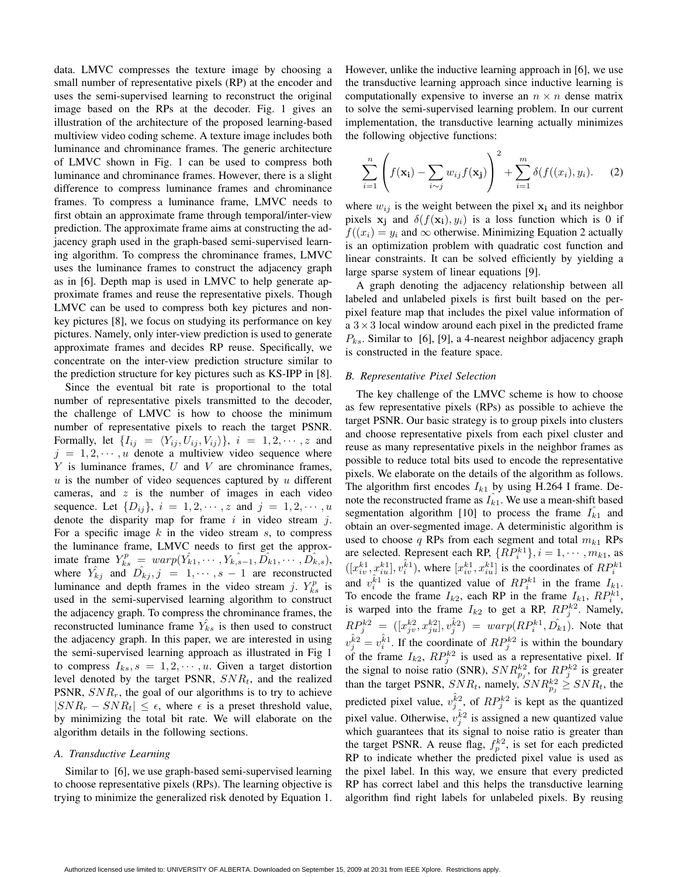data. LMVC compresses the texture image by choosing a small number of representative pixels (RP) at the encoder and uses the semi-supervised learning to reconstruct the original image based on the RPs at the decoder. Fig. 1 gives an illustration of the architecture of the proposed learning-based multiview video coding scheme. A texture image includes both luminance and chrominance frames. The generic architecture of LMVC shown in Fig. 1 can be used to compress both luminance and chrominance frames. However, there is a slight difference to compress luminance frames and chrominance frames. To compress a luminance frame, LMVC needs to first obtain an approximate frame through temporal/inter-view prediction. The approximate frame aims at constructing the adjacency graph used in the graph-based semi-supervised learning algorithm. To compress the chrominance frames, LMVC uses the luminance frames to construct the adjacency graph as in [6]. Depth map is used in LMVC to help generate approximate frames and reuse the representative pixels. Though LMVC can be used to compress both key pictures and nonkey pictures [8], we focus on studying its performance on key pictures. Namely, only inter-view prediction is used to generate approximate frames and decides RP reuse. Specifically, we concentrate on the inter-view prediction structure similar to the prediction structure for key pictures such as KS-IPP in [8].

Since the eventual bit rate is proportional to the total number of representative pixels transmitted to the decoder, the challenge of LMVC is how to choose the minimum number of representative pixels to reach the target PSNR. Formally, let  $\{I_{ij} = \langle Y_{ij}, U_{ij}, V_{ij} \rangle\}$ ,  $i = 1, 2, \dots, z$  and  $j = 1, 2, \dots, u$  denote a multiview video sequence where  $Y$  is luminance frames,  $U$  and  $V$  are chrominance frames,  $u$  is the number of video sequences captured by  $u$  different cameras, and  $z$  is the number of images in each video sequence. Let  $\{D_{ij}\}, i = 1, 2, \dots, z$  and  $j = 1, 2, \dots, u$ denote the disparity map for frame  $i$  in video stream  $j$ . For a specific image  $k$  in the video stream  $s$ , to compress the luminance frame, LMVC needs to first get the approximate frame  $Y_{ks}^p = warp(\hat{Y_{k1}}, \dots, \hat{Y_{k,s-1}}, \hat{D_{k1}}, \dots, \hat{D_{k,s}})$ , where  $\hat{Y}_{kj}$  and  $\hat{D}_{kj}$ ,  $j = 1, \dots, s-1$  are reconstructed luminance and depth frames in the video stream j.  $Y_{ks}^p$  is used in the semi-supervised learning algorithm to construct the adjacency graph. To compress the chrominance frames, the reconstructed luminance frame  $\hat{Y}_{ks}$  is then used to construct the adjacency graph. In this paper, we are interested in using the semi-supervised learning approach as illustrated in Fig 1 to compress  $I_{ks}$ ,  $s = 1, 2, \dots, u$ . Given a target distortion level denoted by the target PSNR, SNR*t*, and the realized PSNR,  $SNR_r$ , the goal of our algorithms is to try to achieve  $|SNR_r - SNR_t| \leq \epsilon$ , where  $\epsilon$  is a preset threshold value, by minimizing the total bit rate. We will elaborate on the algorithm details in the following sections.

## *A. Transductive Learning*

Similar to [6], we use graph-based semi-supervised learning to choose representative pixels (RPs). The learning objective is trying to minimize the generalized risk denoted by Equation 1. However, unlike the inductive learning approach in [6], we use the transductive learning approach since inductive learning is computationally expensive to inverse an  $n \times n$  dense matrix to solve the semi-supervised learning problem. In our current implementation, the transductive learning actually minimizes the following objective functions:

$$
\sum_{i=1}^{n} \left( f(\mathbf{x_i}) - \sum_{i \sim j} w_{ij} f(\mathbf{x_j}) \right)^2 + \sum_{i=1}^{m} \delta(f((x_i), y_i). \tag{2}
$$

where  $w_{ij}$  is the weight between the pixel  $x_i$  and its neighbor pixels  $\mathbf{x}_i$  and  $\delta(f(\mathbf{x}_i), y_i)$  is a loss function which is 0 if  $f((x_i) = y_i$  and  $\infty$  otherwise. Minimizing Equation 2 actually is an optimization problem with quadratic cost function and linear constraints. It can be solved efficiently by yielding a large sparse system of linear equations [9].

A graph denoting the adjacency relationship between all labeled and unlabeled pixels is first built based on the perpixel feature map that includes the pixel value information of a  $3 \times 3$  local window around each pixel in the predicted frame  $P_{ks}$ . Similar to [6], [9], a 4-nearest neighbor adjacency graph is constructed in the feature space.

### *B. Representative Pixel Selection*

The key challenge of the LMVC scheme is how to choose as few representative pixels (RPs) as possible to achieve the target PSNR. Our basic strategy is to group pixels into clusters and choose representative pixels from each pixel cluster and reuse as many representative pixels in the neighbor frames as possible to reduce total bits used to encode the representative pixels. We elaborate on the details of the algorithm as follows. The algorithm first encodes  $I_{k1}$  by using H.264 I frame. Denote the reconstructed frame as  $I_{k1}$ . We use a mean-shift based segmentation algorithm  $[10]$  to process the frame  $I_{k1}$  and obtain an over-segmented image. A deterministic algorithm is used to choose q RPs from each segment and total  $m_{k1}$  RPs are selected. Represent each RP,  $\{RP_i^{k_1}\}, i = 1, \cdots, m_{k_1}$ , as  $([x_{iv}^{k1}, x_{iu}^{k1}], v_i^{\hat{k}1}),$  where  $[x_{iv}^{k1}, x_{iu}^{k1}]$  is the coordinates of  $RP_i^{k1}$ and  $v_i^{\hat{k}1}$  is the quantized value of  $RP_i^{k1}$  in the frame  $I_{k1}$ . To encode the frame  $I_{k2}$ , each RP in the frame  $I_{k1}$ ,  $RP_i^{k1}$ , is warped into the frame  $I_{k2}$  to get a RP,  $RP_j^{k2}$ . Namely,  $RP_j^{k2} = ([x_{jv}^{k2}, x_{ju}^{k2}], v_j^{k2}) = warp(RP_i^{k1}, \hat{D_{k1}})$ . Note that  $v_j^{\hat{k}2} = v_i^{\hat{k}1}$ . If the coordinate of  $RP_j^{k2}$  is within the boundary of the frame  $I_{k2}$ ,  $RP_j^{k2}$  is used as a representative pixel. If the signal to noise ratio (SNR),  $SNR_{p_j}^{k2}$ , for  $RP_j^{k2}$  is greater than the target PSNR,  $SNR_t$ , namely,  $SNR_{p_j}^k \geq SNR_t$ , the predicted pixel value,  $v_j^{\hat{k}^2}$ , of  $RP_j^{k^2}$  is kept as the quantized pixel value. Otherwise,  $v_j^{\hat{k}^2}$  is assigned a new quantized value which guarantees that its signal to noise ratio is greater than the target PSNR. A reuse flag,  $f_p^{k2}$ , is set for each predicted RP to indicate whether the predicted pixel value is used as the pixel label. In this way, we ensure that every predicted RP has correct label and this helps the transductive learning algorithm find right labels for unlabeled pixels. By reusing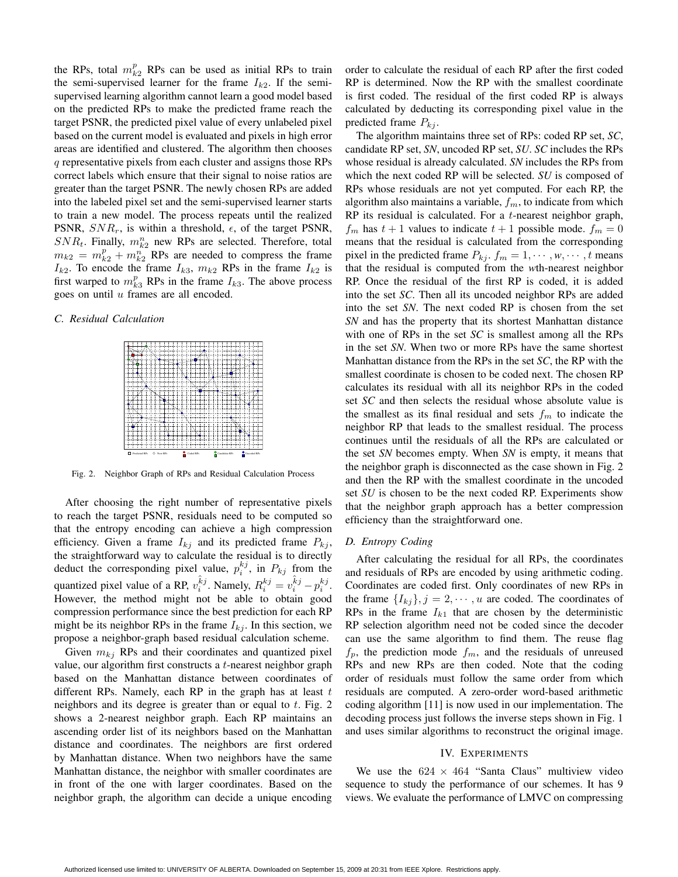the RPs, total  $m_{k2}^p$  RPs can be used as initial RPs to train the semi-supervised learner for the frame  $I_{k2}$ . If the semisupervised learning algorithm cannot learn a good model based on the predicted RPs to make the predicted frame reach the target PSNR, the predicted pixel value of every unlabeled pixel based on the current model is evaluated and pixels in high error areas are identified and clustered. The algorithm then chooses q representative pixels from each cluster and assigns those RPs correct labels which ensure that their signal to noise ratios are greater than the target PSNR. The newly chosen RPs are added into the labeled pixel set and the semi-supervised learner starts to train a new model. The process repeats until the realized PSNR,  $SNR_r$ , is within a threshold,  $\epsilon$ , of the target PSNR,  $SNR_t$ . Finally,  $m_{k2}^n$  new RPs are selected. Therefore, total  $m_{k2} = m_{k2}^p + m_{k2}^n$  RPs are needed to compress the frame  $I_{k2}$ . To encode the frame  $I_{k3}$ ,  $m_{k2}$  RPs in the frame  $I_{k2}$  is first warped to  $m_{k3}^p$  RPs in the frame  $I_{k3}$ . The above process goes on until u frames are all encoded.

## *C. Residual Calculation*



Fig. 2. Neighbor Graph of RPs and Residual Calculation Process

After choosing the right number of representative pixels to reach the target PSNR, residuals need to be computed so that the entropy encoding can achieve a high compression efficiency. Given a frame  $I_{kj}$  and its predicted frame  $P_{kj}$ , the straightforward way to calculate the residual is to directly deduct the corresponding pixel value,  $p_i^{kj}$ , in  $P_{kj}$  from the quantized pixel value of a RP,  $v_i^{\hat{k}j}$ . Namely,  $R_i^{kj} = v_i^{\hat{k}j} - p_i^{kj}$ . However, the method might not be able to obtain good compression performance since the best prediction for each RP might be its neighbor RPs in the frame  $I_{kj}$ . In this section, we propose a neighbor-graph based residual calculation scheme.

Given  $m_{kj}$  RPs and their coordinates and quantized pixel value, our algorithm first constructs a t-nearest neighbor graph based on the Manhattan distance between coordinates of different RPs. Namely, each RP in the graph has at least  $t$ neighbors and its degree is greater than or equal to  $t$ . Fig. 2 shows a 2-nearest neighbor graph. Each RP maintains an ascending order list of its neighbors based on the Manhattan distance and coordinates. The neighbors are first ordered by Manhattan distance. When two neighbors have the same Manhattan distance, the neighbor with smaller coordinates are in front of the one with larger coordinates. Based on the neighbor graph, the algorithm can decide a unique encoding order to calculate the residual of each RP after the first coded RP is determined. Now the RP with the smallest coordinate is first coded. The residual of the first coded RP is always calculated by deducting its corresponding pixel value in the predicted frame  $P_{ki}$ .

The algorithm maintains three set of RPs: coded RP set, *SC*, candidate RP set, *SN*, uncoded RP set, *SU*. *SC* includes the RPs whose residual is already calculated. *SN* includes the RPs from which the next coded RP will be selected. *SU* is composed of RPs whose residuals are not yet computed. For each RP, the algorithm also maintains a variable, f*m*, to indicate from which RP its residual is calculated. For a  $t$ -nearest neighbor graph,  $f_m$  has  $t + 1$  values to indicate  $t + 1$  possible mode.  $f_m = 0$ means that the residual is calculated from the corresponding pixel in the predicted frame  $P_{kj}$ ,  $f_m = 1, \dots, w, \dots, t$  means that the residual is computed from the *w*th-nearest neighbor RP. Once the residual of the first RP is coded, it is added into the set *SC*. Then all its uncoded neighbor RPs are added into the set *SN*. The next coded RP is chosen from the set *SN* and has the property that its shortest Manhattan distance with one of RPs in the set *SC* is smallest among all the RPs in the set *SN*. When two or more RPs have the same shortest Manhattan distance from the RPs in the set *SC*, the RP with the smallest coordinate is chosen to be coded next. The chosen RP calculates its residual with all its neighbor RPs in the coded set *SC* and then selects the residual whose absolute value is the smallest as its final residual and sets  $f_m$  to indicate the neighbor RP that leads to the smallest residual. The process continues until the residuals of all the RPs are calculated or the set *SN* becomes empty. When *SN* is empty, it means that the neighbor graph is disconnected as the case shown in Fig. 2 and then the RP with the smallest coordinate in the uncoded set *SU* is chosen to be the next coded RP. Experiments show that the neighbor graph approach has a better compression efficiency than the straightforward one.

### *D. Entropy Coding*

After calculating the residual for all RPs, the coordinates and residuals of RPs are encoded by using arithmetic coding. Coordinates are coded first. Only coordinates of new RPs in the frame  $\{I_{kj}\}\$ ,  $j=2,\cdots,u$  are coded. The coordinates of RPs in the frame  $I_{k1}$  that are chosen by the deterministic RP selection algorithm need not be coded since the decoder can use the same algorithm to find them. The reuse flag  $f_p$ , the prediction mode  $f_m$ , and the residuals of unreused RPs and new RPs are then coded. Note that the coding order of residuals must follow the same order from which residuals are computed. A zero-order word-based arithmetic coding algorithm [11] is now used in our implementation. The decoding process just follows the inverse steps shown in Fig. 1 and uses similar algorithms to reconstruct the original image.

## IV. EXPERIMENTS

We use the  $624 \times 464$  "Santa Claus" multiview video sequence to study the performance of our schemes. It has 9 views. We evaluate the performance of LMVC on compressing